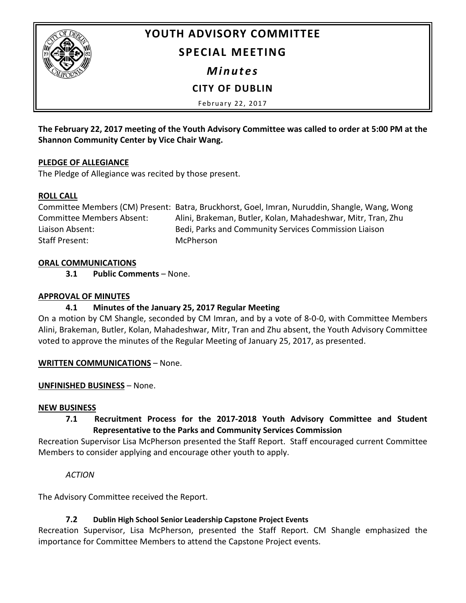

# **YOUTH ADVISORY COMMITTEE**

## **SPECIAL MEETING**

*Minutes*

**CITY OF DUBLIN**

February 22, 2017

**The February 22, 2017 meeting of the Youth Advisory Committee was called to order at 5:00 PM at the Shannon Community Center by Vice Chair Wang.**

#### **PLEDGE OF ALLEGIANCE**

The Pledge of Allegiance was recited by those present.

#### **ROLL CALL**

Committee Members (CM) Present: Batra, Bruckhorst, Goel, Imran, Nuruddin, Shangle, Wang, Wong Committee Members Absent: Alini, Brakeman, Butler, Kolan, Mahadeshwar, Mitr, Tran, Zhu Liaison Absent: Bedi, Parks and Community Services Commission Liaison Staff Present: McPherson

#### **ORAL COMMUNICATIONS**

**3.1 Public Comments** – None.

#### **APPROVAL OF MINUTES**

### **4.1 Minutes of the January 25, 2017 Regular Meeting**

On a motion by CM Shangle, seconded by CM Imran, and by a vote of 8-0-0, with Committee Members Alini, Brakeman, Butler, Kolan, Mahadeshwar, Mitr, Tran and Zhu absent, the Youth Advisory Committee voted to approve the minutes of the Regular Meeting of January 25, 2017, as presented.

**WRITTEN COMMUNICATIONS** – None.

### **UNFINISHED BUSINESS** – None.

#### **NEW BUSINESS**

## **7.1 Recruitment Process for the 2017-2018 Youth Advisory Committee and Student Representative to the Parks and Community Services Commission**

Recreation Supervisor Lisa McPherson presented the Staff Report. Staff encouraged current Committee Members to consider applying and encourage other youth to apply.

### *ACTION*

The Advisory Committee received the Report.

### **7.2 Dublin High School Senior Leadership Capstone Project Events**

Recreation Supervisor, Lisa McPherson, presented the Staff Report. CM Shangle emphasized the importance for Committee Members to attend the Capstone Project events.